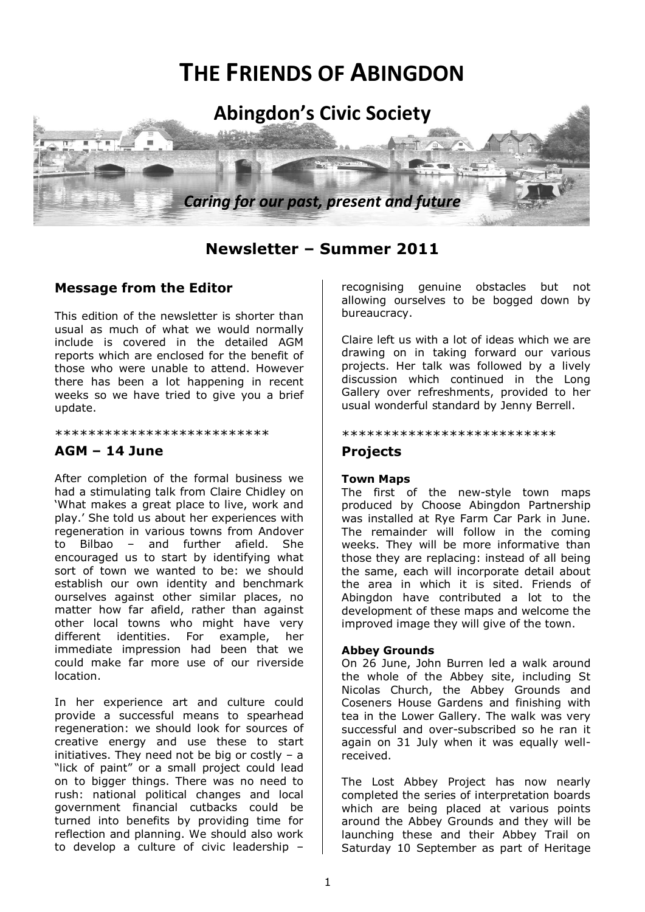# **THE FRIENDS OF ABINGDON**



## **Newsletter – Summer 2011**

## **Message from the Editor**

This edition of the newsletter is shorter than usual as much of what we would normally include is covered in the detailed AGM reports which are enclosed for the benefit of those who were unable to attend. However there has been a lot happening in recent weeks so we have tried to give you a brief update.

\*\*\*\*\*\*\*\*\*\*\*\*\*\*\*\*\*\*\*\*\*\*\*\*\*\*

## **AGM – 14 June**

After completion of the formal business we had a stimulating talk from Claire Chidley on 'What makes a great place to live, work and play.' She told us about her experiences with regeneration in various towns from Andover to Bilbao – and further afield. She encouraged us to start by identifying what sort of town we wanted to be: we should establish our own identity and benchmark ourselves against other similar places, no matter how far afield, rather than against other local towns who might have very different identities. For example, her immediate impression had been that we could make far more use of our riverside location.

In her experience art and culture could provide a successful means to spearhead regeneration: we should look for sources of creative energy and use these to start initiatives. They need not be big or costly  $-$  a "lick of paint" or a small project could lead on to bigger things. There was no need to rush: national political changes and local government financial cutbacks could be turned into benefits by providing time for reflection and planning. We should also work to develop a culture of civic leadership –

recognising genuine obstacles but not allowing ourselves to be bogged down by bureaucracy.

Claire left us with a lot of ideas which we are drawing on in taking forward our various projects. Her talk was followed by a lively discussion which continued in the Long Gallery over refreshments, provided to her usual wonderful standard by Jenny Berrell.

#### \*\*\*\*\*\*\*\*\*\*\*\*\*\*\*\*\*\*\*\*\*\*\*\*\*\*

## **Projects**

#### **Town Maps**

The first of the new-style town maps produced by Choose Abingdon Partnership was installed at Rye Farm Car Park in June. The remainder will follow in the coming weeks. They will be more informative than those they are replacing: instead of all being the same, each will incorporate detail about the area in which it is sited. Friends of Abingdon have contributed a lot to the development of these maps and welcome the improved image they will give of the town.

#### **Abbey Grounds**

On 26 June, John Burren led a walk around the whole of the Abbey site, including St Nicolas Church, the Abbey Grounds and Coseners House Gardens and finishing with tea in the Lower Gallery. The walk was very successful and over-subscribed so he ran it again on 31 July when it was equally wellreceived.

The Lost Abbey Project has now nearly completed the series of interpretation boards which are being placed at various points around the Abbey Grounds and they will be launching these and their Abbey Trail on Saturday 10 September as part of Heritage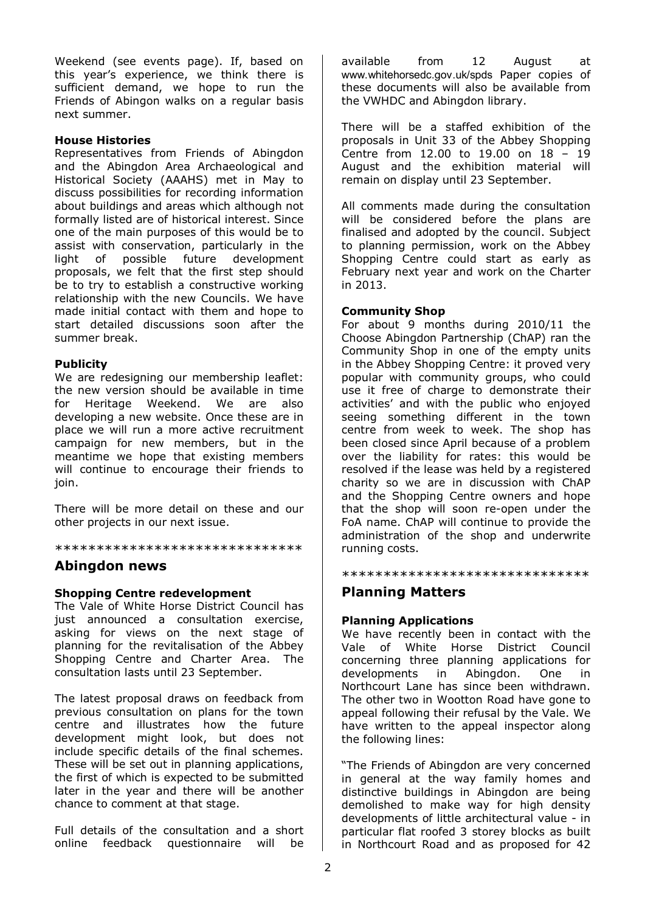Weekend (see events page). If, based on this year's experience, we think there is sufficient demand, we hope to run the Friends of Abingon walks on a regular basis next summer.

#### **House Histories**

Representatives from Friends of Abingdon and the Abingdon Area Archaeological and Historical Society (AAAHS) met in May to discuss possibilities for recording information about buildings and areas which although not formally listed are of historical interest. Since one of the main purposes of this would be to assist with conservation, particularly in the light of possible future development proposals, we felt that the first step should be to try to establish a constructive working relationship with the new Councils. We have made initial contact with them and hope to start detailed discussions soon after the summer break.

#### **Publicity**

We are redesigning our membership leaflet: the new version should be available in time for Heritage Weekend. We are also developing a new website. Once these are in place we will run a more active recruitment campaign for new members, but in the meantime we hope that existing members will continue to encourage their friends to join.

There will be more detail on these and our other projects in our next issue.

\*\*\*\*\*\*\*\*\*\*\*\*\*\*\*\*\*\*\*\*\*\*\*\*\*\*\*\*\*\*

#### **Abingdon news**

#### **Shopping Centre redevelopment**

The Vale of White Horse District Council has just announced a consultation exercise, asking for views on the next stage of planning for the revitalisation of the Abbey Shopping Centre and Charter Area. The consultation lasts until 23 September.

The latest proposal draws on feedback from previous consultation on plans for the town centre and illustrates how the future development might look, but does not include specific details of the final schemes. These will be set out in planning applications, the first of which is expected to be submitted later in the year and there will be another chance to comment at that stage.

Full details of the consultation and a short online feedback questionnaire will be available from 12 August at www.whitehorsedc.gov.uk/spds Paper copies of these documents will also be available from the VWHDC and Abingdon library.

There will be a staffed exhibition of the proposals in Unit 33 of the Abbey Shopping Centre from 12.00 to 19.00 on 18 – 19 August and the exhibition material will remain on display until 23 September.

All comments made during the consultation will be considered before the plans are finalised and adopted by the council. Subject to planning permission, work on the Abbey Shopping Centre could start as early as February next year and work on the Charter in 2013.

#### **Community Shop**

For about 9 months during 2010/11 the Choose Abingdon Partnership (ChAP) ran the Community Shop in one of the empty units in the Abbey Shopping Centre: it proved very popular with community groups, who could use it free of charge to demonstrate their activities' and with the public who enjoyed seeing something different in the town centre from week to week. The shop has been closed since April because of a problem over the liability for rates: this would be resolved if the lease was held by a registered charity so we are in discussion with ChAP and the Shopping Centre owners and hope that the shop will soon re-open under the FoA name. ChAP will continue to provide the administration of the shop and underwrite running costs.

\*\*\*\*\*\*\*\*\*\*\*\*\*\*\*\*\*\*\*\*\*\*\*\*\*\*\*\*\*\*

### **Planning Matters**

#### **Planning Applications**

We have recently been in contact with the Vale of White Horse District Council concerning three planning applications for<br>developments in Abingdon. One in developments in Abingdon. One in Northcourt Lane has since been withdrawn. The other two in Wootton Road have gone to appeal following their refusal by the Vale. We have written to the appeal inspector along the following lines:

"The Friends of Abingdon are very concerned in general at the way family homes and distinctive buildings in Abingdon are being demolished to make way for high density developments of little architectural value - in particular flat roofed 3 storey blocks as built in Northcourt Road and as proposed for 42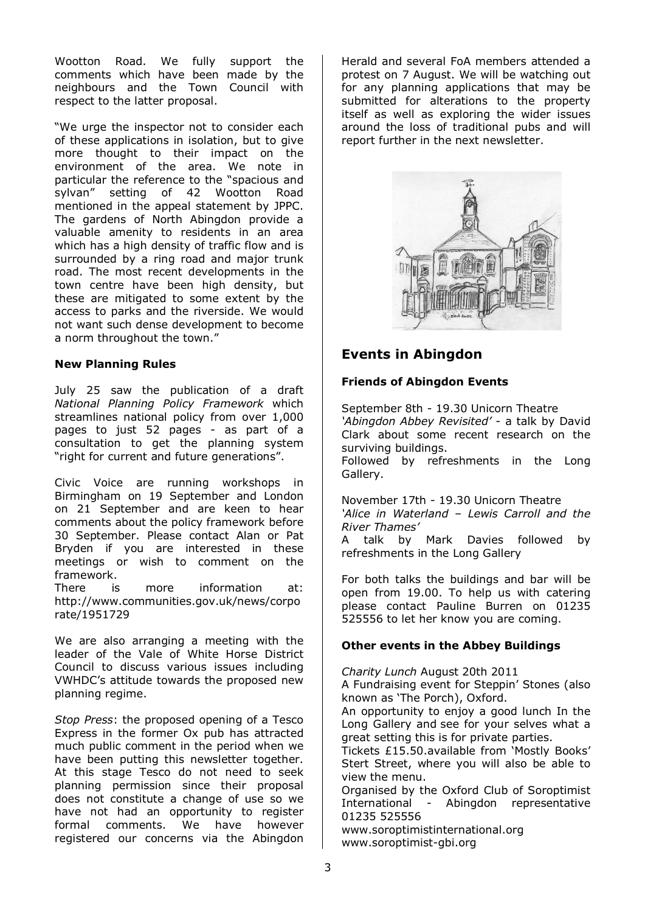Wootton Road. We fully support the comments which have been made by the neighbours and the Town Council with respect to the latter proposal.

"We urge the inspector not to consider each of these applications in isolation, but to give more thought to their impact on the environment of the area. We note in particular the reference to the "spacious and sylvan" setting of 42 Wootton Road mentioned in the appeal statement by JPPC. The gardens of North Abingdon provide a valuable amenity to residents in an area which has a high density of traffic flow and is surrounded by a ring road and major trunk road. The most recent developments in the town centre have been high density, but these are mitigated to some extent by the access to parks and the riverside. We would not want such dense development to become a norm throughout the town."

#### **New Planning Rules**

July 25 saw the publication of a draft *National Planning Policy Framework* which streamlines national policy from over 1,000 pages to just 52 pages - as part of a consultation to get the planning system "right for current and future generations".

Civic Voice are running workshops in Birmingham on 19 September and London on 21 September and are keen to hear comments about the policy framework before 30 September. Please contact Alan or Pat Bryden if you are interested in these meetings or wish to comment on the framework.

There is more information at: http://www.communities.gov.uk/news/corpo rate/1951729

We are also arranging a meeting with the leader of the Vale of White Horse District Council to discuss various issues including VWHDC's attitude towards the proposed new planning regime.

*Stop Press*: the proposed opening of a Tesco Express in the former Ox pub has attracted much public comment in the period when we have been putting this newsletter together. At this stage Tesco do not need to seek planning permission since their proposal does not constitute a change of use so we have not had an opportunity to register formal comments. We have however registered our concerns via the Abingdon Herald and several FoA members attended a protest on 7 August. We will be watching out for any planning applications that may be submitted for alterations to the property itself as well as exploring the wider issues around the loss of traditional pubs and will report further in the next newsletter.



## **Events in Abingdon**

#### **Friends of Abingdon Events**

September 8th - 19.30 Unicorn Theatre *'Abingdon Abbey Revisited'* - a talk by David Clark about some recent research on the surviving buildings.

Followed by refreshments in the Long Gallery.

November 17th - 19.30 Unicorn Theatre *'Alice in Waterland – Lewis Carroll and the River Thames'* 

A talk by Mark Davies followed by refreshments in the Long Gallery

For both talks the buildings and bar will be open from 19.00. To help us with catering please contact Pauline Burren on 01235 525556 to let her know you are coming.

#### **Other events in the Abbey Buildings**

*Charity Lunch* August 20th 2011 A Fundraising event for Steppin' Stones (also known as 'The Porch), Oxford. An opportunity to enjoy a good lunch In the Long Gallery and see for your selves what a great setting this is for private parties. Tickets £15.50.available from 'Mostly Books' Stert Street, where you will also be able to

view the menu. Organised by the Oxford Club of Soroptimist International - Abingdon representative 01235 525556

www.soroptimistinternational.org www.soroptimist-gbi.org